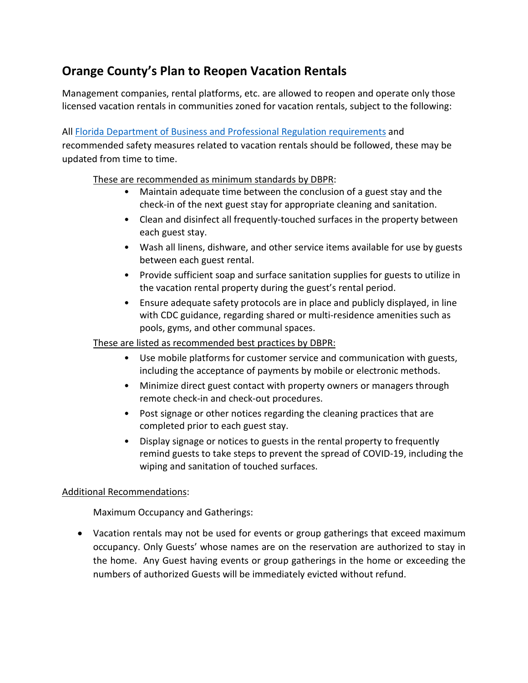# **Orange County's Plan to Reopen Vacation Rentals**

Management companies, rental platforms, etc. are allowed to reopen and operate only those licensed vacation rentals in communities zoned for vacation rentals, subject to the following:

All [Florida Department of Business and Professional Regulation requirements](http://www.myfloridalicense.com/DBPR/vacation-rental-status/) and recommended safety measures related to vacation rentals should be followed, these may be updated from time to time.

## These are recommended as minimum standards by DBPR:

- Maintain adequate time between the conclusion of a guest stay and the check-in of the next guest stay for appropriate cleaning and sanitation.
- Clean and disinfect all frequently-touched surfaces in the property between each guest stay.
- Wash all linens, dishware, and other service items available for use by guests between each guest rental.
- Provide sufficient soap and surface sanitation supplies for guests to utilize in the vacation rental property during the guest's rental period.
- Ensure adequate safety protocols are in place and publicly displayed, in line with CDC guidance, regarding shared or multi-residence amenities such as pools, gyms, and other communal spaces.

## These are listed as recommended best practices by DBPR:

- Use mobile platforms for customer service and communication with guests, including the acceptance of payments by mobile or electronic methods.
- Minimize direct guest contact with property owners or managers through remote check-in and check-out procedures.
- Post signage or other notices regarding the cleaning practices that are completed prior to each guest stay.
- Display signage or notices to guests in the rental property to frequently remind guests to take steps to prevent the spread of COVID-19, including the wiping and sanitation of touched surfaces.

## Additional Recommendations:

Maximum Occupancy and Gatherings:

• Vacation rentals may not be used for events or group gatherings that exceed maximum occupancy. Only Guests' whose names are on the reservation are authorized to stay in the home. Any Guest having events or group gatherings in the home or exceeding the numbers of authorized Guests will be immediately evicted without refund.